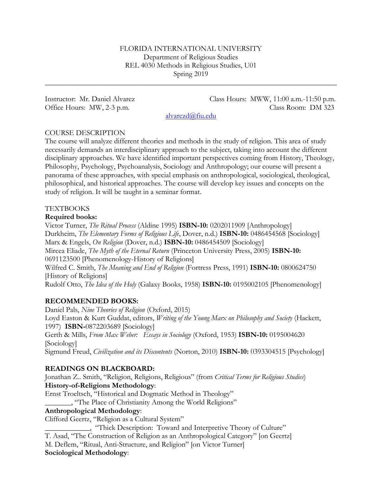## FLORIDA INTERNATIONAL UNIVERSITY Department of Religious Studies REL 4030 Methods in Religious Studies, U01 Spring 2019

\_\_\_\_\_\_\_\_\_\_\_\_\_\_\_\_\_\_\_\_\_\_\_\_\_\_\_\_\_\_\_\_\_\_\_\_\_\_\_\_\_\_\_\_\_\_\_\_\_\_\_\_\_\_\_\_\_\_\_\_\_\_\_\_\_\_\_\_\_\_\_\_\_\_\_\_\_\_

Instructor: Mr. Daniel Alvarez Class Hours: MWW, 11:00 a.m.-11:50 p.m. Office Hours: MW, 2-3 p.m. Class Room: DM 323

[alvarezd@fiu.edu](mailto:alvarezd@fiu.edu)

## COURSE DESCRIPTION

The course will analyze different theories and methods in the study of religion. This area of study necessarily demands an interdisciplinary approach to the subject, taking into account the different disciplinary approaches. We have identified important perspectives coming from History, Theology, Philosophy, Psychology, Psychoanalysis, Sociology and Anthropology; our course will present a panorama of these approaches, with special emphasis on anthropological, sociological, theological, philosophical, and historical approaches. The course will develop key issues and concepts on the study of religion. It will be taught in a seminar format.

## TEXTBOOKS

#### **Required books:**

Victor Turner, *The Ritual Process* (Aldine 1995) **ISBN-10:** 0202011909 [Anthropology] Durkheim, *The Elementary Forms of Religious Life*, Dover, n.d.) **ISBN-10:** 0486454568 [Sociology] Marx & Engels, *On Religion* (Dover, n.d.) **ISBN-10:** 0486454509 [Sociology] Mircea Eliade, *The Myth of the Eternal Return* (Princeton University Press, 2005) **ISBN-10:** 0691123500 [Phenomenology-History of Religions] Wilfred C. Smith, *The Meaning and End of Religion* (Fortress Press, 1991) **ISBN-10:** 0800624750 [History of Religions] Rudolf Otto, *The Idea of the Holy* (Galaxy Books, 1958) **ISBN-10:** 0195002105 [Phenomenology]

## **RECOMMENDED BOOKS:**

Daniel Pals, *Nine Theories of Religion* (Oxford, 2015) Loyd Easton & Kurt Guddat, editors, *Writing of the Young Marx on Philosophy and Society* (Hackett, 1997) **ISBN-**0872203689 [Sociology] Gerth & Mills, *From Max Weber: Essays in Sociology* (Oxford, 1953) **ISBN-10:** 0195004620 [Sociology] Sigmund Freud, *Civilization and its Discontents* (Norton, 2010) **ISBN-10:** 0393304515 [Psychology]

# **READINGS ON BLACKBOARD:**

Jonathan Z.. Smith, "Religion, Religions, Religious" (from *Critical Terms for Religious Studies*) **History-of-Religions Methodology**:

Ernst Troeltsch, "Historical and Dogmatic Method in Theology"

\_\_\_\_\_\_\_, "The Place of Christianity Among the World Religions"

## **Anthropological Methodology**:

Clifford Geertz, "Religion as a Cultural System"

\_\_\_\_\_\_\_\_\_\_\_\_, "Thick Description: Toward and Interpretive Theory of Culture" T. Asad, "The Construction of Religion as an Anthropological Category" [on Geertz] M. Deflem, "Ritual, Anti-Structure, and Religion" [on Victor Turner]

## **Sociological Methodology**: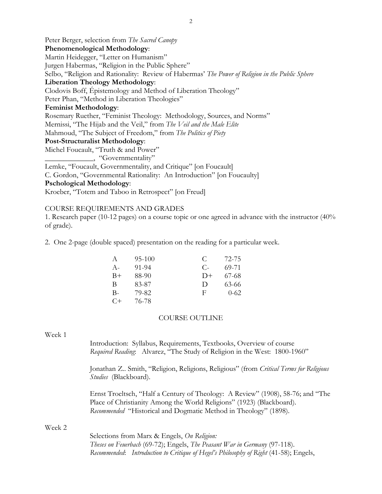Peter Berger, selection from *The Sacred Canopy* **Phenomenological Methodology**: Martin Heidegger, "Letter on Humanism" Jurgen Habermas, "Religion in the Public Sphere" Selbo, "Religion and Rationality: Review of Habermas' *The Power of Religion in the Public Sphere* **Liberation Theology Methodology**: Clodovis Boff, Épistemology and Method of Liberation Theology" Peter Phan, "Method in Liberation Theologies" **Feminist Methodology**: Rosemary Ruether, "Feminist Theology: Methodology, Sources, and Norms" Mernissi, "The Hijab and the Veil," from *The Veil and the Male Elite* Mahmoud, "The Subject of Freedom," from *The Politics of Piety* **Post-Structuralist Methodology**: Michel Foucault, "Truth & and Power" \_\_\_\_\_\_\_\_\_\_\_\_\_, "Governmentality" Lemke, "Foucault, Governmentality, and Critique" [on Foucault] C. Gordon, "Governmental Rationality: An Introduction" [on Foucaulty] **Pschological Methodology**:

Kroeber, "Totem and Taboo in Retrospect" [on Freud]

#### COURSE REQUIREMENTS AND GRADES

1. Research paper (10-12 pages) on a course topic or one agreed in advance with the instructor (40% of grade).

2. One 2-page (double spaced) presentation on the reading for a particular week.

| A     | 95-100 | €      | 72-75    |
|-------|--------|--------|----------|
| $A -$ | 91-94  | C-     | 69-71    |
| $B+$  | 88-90  | $D+$   | 67-68    |
| B     | 83-87  | $\Box$ | 63-66    |
| $B -$ | 79-82  | F      | $0 - 62$ |
| $C+$  | 76-78  |        |          |

#### COURSE OUTLINE

#### Week 1

Introduction: Syllabus, Requirements, Textbooks, Overview of course *Required Reading*: Alvarez, "The Study of Religion in the West: 1800-1960"

Jonathan Z.. Smith, "Religion, Religions, Religious" (from *Critical Terms for Religious Studies* (Blackboard).

Ernst Troeltsch, "Half a Century of Theology: A Review" (1908), 58-76; and "The Place of Christianity Among the World Religions" (1923) (Blackboard). *Recommended* "Historical and Dogmatic Method in Theology" (1898).

#### Week 2

Selections from Marx & Engels, *On Religion: Theses on Feuerbach* (69-72); Engels, *The Peasant War in Germany* (97-118). *Recommended*: *Introduction to Critique of Hegel's Philosophy of Right* (41-58); Engels,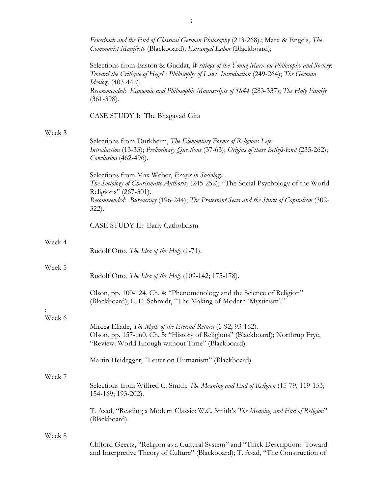|        | Feuerbach and the End of Classical German Philosophy (213-268).; Marx & Engels, The<br>Communist Manifesto (Blackboard); Estranged Labor (Blackboard);                                                                                                                                        |
|--------|-----------------------------------------------------------------------------------------------------------------------------------------------------------------------------------------------------------------------------------------------------------------------------------------------|
|        | Selections from Easton & Guddat, Writings of the Young Marx on Philosophy and Society:<br>Toward the Critique of Hegel's Philosophy of Law: Introduction (249-264); The German<br>Ideology (403-442).<br>Recommended: Economic and Philosophic Manuscripts of 1844 (283-337); The Holy Family |
|        | $(361-398).$                                                                                                                                                                                                                                                                                  |
|        | CASE STUDY I: The Bhagavad Gita                                                                                                                                                                                                                                                               |
| Week 3 |                                                                                                                                                                                                                                                                                               |
|        | Selections from Durkheim, The Elementary Forms of Religious Life:<br>Introduction (13-33); Preliminary Questions (37-63); Origins of these Beliefs-End (235-262);<br>Conclusion (462-496).                                                                                                    |
|        | Selections from Max Weber, Essays in Sociology.<br>The Sociology of Charismatic Authority (245-252); "The Social Psychology of the World<br>Religions" (267-301).                                                                                                                             |
|        | Recommended: Bureacracy (196-244); The Protestant Sects and the Spirit of Capitalism (302-<br>$322$ ).                                                                                                                                                                                        |
|        | CASE STUDY II: Early Catholicism                                                                                                                                                                                                                                                              |
| Week 4 | Rudolf Otto, The Idea of the Holy (1-71).                                                                                                                                                                                                                                                     |
| Week 5 | Rudolf Otto, The Idea of the Holy (109-142; 175-178).                                                                                                                                                                                                                                         |
|        | Olson, pp. 100-124, Ch. 4: "Phenomenology and the Science of Religion"<br>(Blackboard); L. E. Schmidt, "The Making of Modern 'Mysticism'."                                                                                                                                                    |
| Week 6 |                                                                                                                                                                                                                                                                                               |
|        | Mircea Eliade, The Myth of the Eternal Return (1-92; 93-162).<br>Olson, pp. 157-160, Ch. 5: "History of Religions" (Blackboard); Northrup Frye,<br>"Review: World Enough without Time" (Blackboard).                                                                                          |
|        | Martin Heidegger, "Letter on Humanism" (Blackboard).                                                                                                                                                                                                                                          |
| Week 7 |                                                                                                                                                                                                                                                                                               |
|        | Selections from Wilfred C. Smith, The Meaning and End of Religion (15-79; 119-153;<br>154-169; 193-202).                                                                                                                                                                                      |
|        | T. Asad, "Reading a Modern Classic: W.C. Smith's The Meaning and End of Religion"<br>(Blackboard).                                                                                                                                                                                            |
| Week 8 |                                                                                                                                                                                                                                                                                               |
|        | Clifford Geertz, "Religion as a Cultural System" and "Thick Description: Toward<br>and Interpretive Theory of Culture" (Blackboard); T. Asad, "The Construction of                                                                                                                            |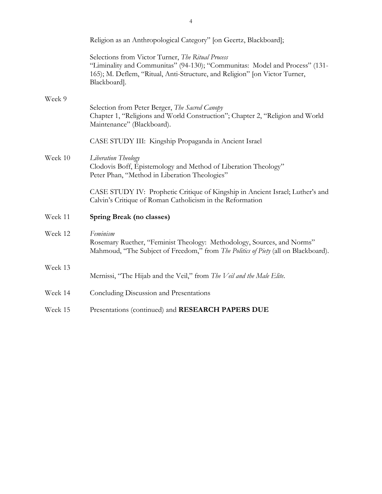|         | Religion as an Anthropological Category" [on Geertz, Blackboard];                                                                                                                                                              |  |
|---------|--------------------------------------------------------------------------------------------------------------------------------------------------------------------------------------------------------------------------------|--|
|         | Selections from Victor Turner, The Ritual Process<br>"Liminality and Communitas" (94-130); "Communitas: Model and Process" (131-<br>165); M. Deflem, "Ritual, Anti-Structure, and Religion" [on Victor Turner,<br>Blackboard]. |  |
| Week 9  |                                                                                                                                                                                                                                |  |
|         | Selection from Peter Berger, The Sacred Canopy<br>Chapter 1, "Religions and World Construction"; Chapter 2, "Religion and World<br>Maintenance" (Blackboard).                                                                  |  |
|         | CASE STUDY III: Kingship Propaganda in Ancient Israel                                                                                                                                                                          |  |
| Week 10 | Liberation Theology<br>Clodovis Boff, Epistemology and Method of Liberation Theology"<br>Peter Phan, "Method in Liberation Theologies"                                                                                         |  |
|         | CASE STUDY IV: Prophetic Critique of Kingship in Ancient Israel; Luther's and<br>Calvin's Critique of Roman Catholicism in the Reformation                                                                                     |  |
| Week 11 | Spring Break (no classes)                                                                                                                                                                                                      |  |
| Week 12 | Feminism<br>Rosemary Ruether, "Feminist Theology: Methodology, Sources, and Norms"<br>Mahmoud, "The Subject of Freedom," from The Politics of Piety (all on Blackboard).                                                       |  |
| Week 13 |                                                                                                                                                                                                                                |  |
|         | Mernissi, "The Hijab and the Veil," from The Veil and the Male Elite.                                                                                                                                                          |  |
| Week 14 | Concluding Discussion and Presentations                                                                                                                                                                                        |  |
| Week 15 | Presentations (continued) and RESEARCH PAPERS DUE                                                                                                                                                                              |  |

4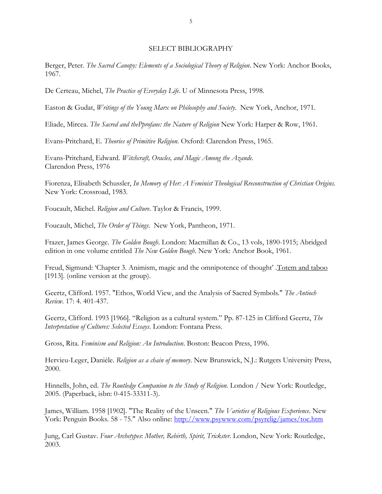#### SELECT BIBLIOGRAPHY

Berger, Peter. *The Sacred Canopy: Elements of a Sociological Theory of Religion*. New York: Anchor Books, 1967.

De Certeau, Michel, *The Practice of Everyday Life*. U of Minnesota Press, 1998.

Easton & Gudat, *Writings of the Young Marx on Philosophy and Society*. New York, Anchor, 1971.

Eliade, Mircea. *The Sacred and thePprofane: the Nature of Religion* New York: Harper & Row, 1961.

Evans-Pritchard, E. *Theories of Primitive Religion.* Oxford: Clarendon Press, 1965.

Evans-Pritchard, Edward*. Witchcraft, Oracles, and Magic Among the Azande.*  Clarendon Press, 1976

Fiorenza, Elisabeth Schussler, *In Memory of Her: A Feminist Theological Rreconstruction of Christian Origins.*  New York: Crossroad, 1983.

Foucault, Michel. *Religion and Culture*. Taylor & Francis, 1999.

Foucault, Michel, *The Order of Things*. New York, Pantheon, 1971.

Frazer, James George. *The Golden Bough*. London: Macmillan & Co., 13 vols, 1890-1915; Abridged edition in one volume entitled *The New Golden Bough*. New York: Anchor Book, 1961.

Freud, Sigmund: 'Chapter 3. Animism, magic and the omnipotence of thought' .Totem and taboo [1913]. (online version at the group).

Geertz, Clifford. 1957. "Ethos, World View, and the Analysis of Sacred Symbols." *The Antioch Review*. 17: 4. 401-437.

Geertz, Clifford. 1993 [1966]. "Religion as a cultural system." Pp. 87-125 in Clifford Geertz, *The Interpretation of Cultures: Selected Essays*. London: Fontana Press.

Gross, Rita. *Feminism and Religion: An Introduction*. Boston: Beacon Press, 1996.

Hervieu-Leger, Danièle. *Religion as a chain of memory*. New Brunswick, N.J.: Rutgers University Press, 2000.

Hinnells, John, ed. *The Routledge Companion to the Study of Religion.* London / New York: Routledge, 2005. (Paperback, isbn: 0-415-33311-3).

James, William. 1958 [1902]. "The Reality of the Unseen." *The Varieties of Religious Experience*. New York: Penguin Books. 58 - 75." Also online:<http://www.psywww.com/psyrelig/james/toc.htm>

Jung, Carl Gustav. *Four Archetypes*: *Mother, Rebirth, Spirit, Trickster*. London, New York: Routledge, 2003.